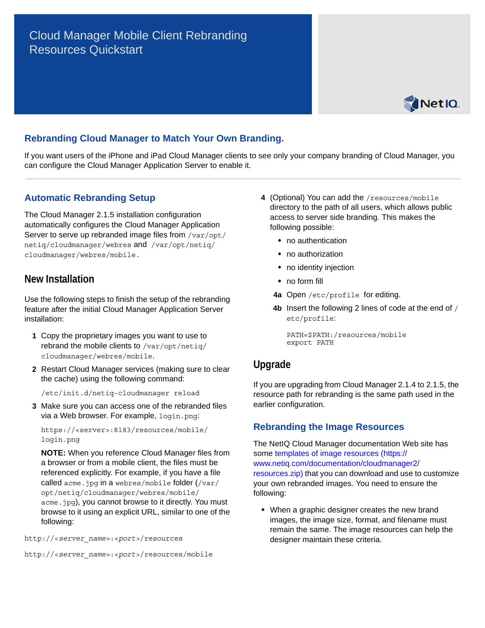# Cloud Manager Mobile Client Rebranding Resources Quickstart



### **Rebranding Cloud Manager to Match Your Own Branding.**

If you want users of the iPhone and iPad Cloud Manager clients to see only your company branding of Cloud Manager, you can configure the Cloud Manager Application Server to enable it.

#### **Automatic Rebranding Setup**

The Cloud Manager 2.1.5 installation configuration automatically configures the Cloud Manager Application Server to serve up rebranded image files from /var/opt/ netiq/cloudmanager/webres and /var/opt/netiq/ cloudmanager/webres/mobile.

#### **New Installation**

Use the following steps to finish the setup of the rebranding feature after the initial Cloud Manager Application Server installation:

- **1** Copy the proprietary images you want to use to rebrand the mobile clients to /var/opt/netiq/ cloudmanager/webres/mobile.
- **2** Restart Cloud Manager services (making sure to clear the cache) using the following command:

/etc/init.d/netiq-cloudmanager reload

**3** Make sure you can access one of the rebranded files via a Web browser. For example, login.png:

```
https://<server>:8183/resources/mobile/
login.png
```
**NOTE:** When you reference Cloud Manager files from a browser or from a mobile client, the files must be referenced explicitly. For example, if you have a file called acme.jpg in a webres/mobile folder (/var/ opt/netiq/cloudmanager/webres/mobile/ acme.jpg), you cannot browse to it directly. You must browse to it using an explicit URL, similar to one of the following:

http://<*server\_name*>:<*port*>/resources

```
http://<server_name>:<port>/resources/mobile
```
- **4** (Optional) You can add the /resources/mobile directory to the path of all users, which allows public access to server side branding. This makes the following possible:
	- no authentication
	- no authorization
	- no identity injection
	- no form fill
	- **4a** Open /etc/profile for editing.
	- **4b** Insert the following 2 lines of code at the end of / etc/profile:

```
PATH=$PATH:/resources/mobile
export PATH
```
#### **Upgrade**

If you are upgrading from Cloud Manager 2.1.4 to 2.1.5, the resource path for rebranding is the same path used in the earlier configuration.

#### **Rebranding the Image Resources**

The NetIQ Cloud Manager documentation Web site has some [templates of image resources](https://www.netiq.com/documentation/cloudmanager2/resources.zip) (https:// www.netiq.com/documentation/cloudmanager2/ resources.zip) that you can download and use to customize your own rebranded images. You need to ensure the following:

 When a graphic designer creates the new brand images, the image size, format, and filename must remain the same. The image resources can help the designer maintain these criteria.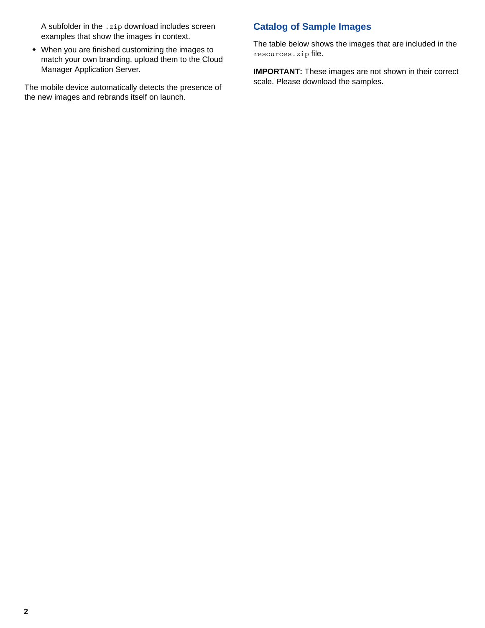A subfolder in the .zip download includes screen examples that show the images in context.

 When you are finished customizing the images to match your own branding, upload them to the Cloud Manager Application Server.

The mobile device automatically detects the presence of the new images and rebrands itself on launch.

## **Catalog of Sample Images**

The table below shows the images that are included in the resources.zip file.

**IMPORTANT:** These images are not shown in their correct scale. Please download the samples.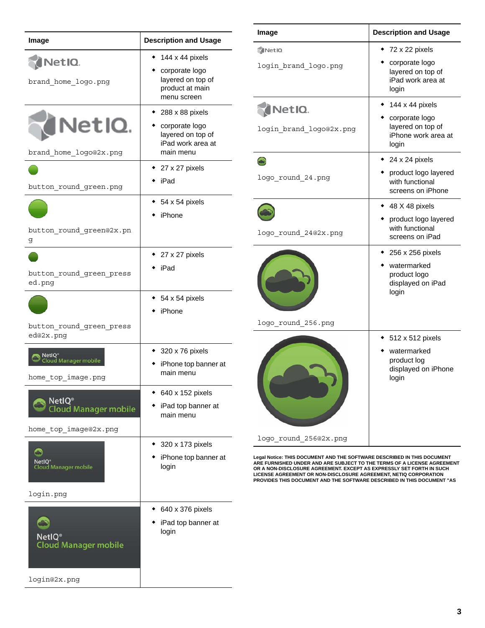| Image                                             | <b>Description and Usage</b>                                          |
|---------------------------------------------------|-----------------------------------------------------------------------|
| NetIQ.                                            | 144 x 44 pixels                                                       |
| brand_home_logo.png                               | corporate logo<br>layered on top of<br>product at main<br>menu screen |
|                                                   | 288 x 88 pixels                                                       |
| NetIQ.                                            | corporate logo<br>layered on top of<br>iPad work area at              |
| brand home logo@2x.png                            | main menu                                                             |
|                                                   | 27 x 27 pixels<br>iPad                                                |
| button round green.png                            |                                                                       |
|                                                   | 54 x 54 pixels                                                        |
|                                                   | iPhone                                                                |
| button round green@2x.pn<br>g                     |                                                                       |
|                                                   | 27 x 27 pixels                                                        |
| button round green press<br>ed.png                | iPad                                                                  |
|                                                   | 54 x 54 pixels                                                        |
|                                                   | iPhone                                                                |
| button round_green_press<br>ed@2x.png             |                                                                       |
| NetIQ®                                            | 320 x 76 pixels                                                       |
| oud Manager mobile<br>home top image.png          | iPhone top banner at<br>main menu                                     |
| <b>NetIQ®</b>                                     | 640 x 152 pixels                                                      |
| oud Manager mobile                                | iPad top banner at<br>main menu                                       |
| home_top_image@2x.png                             |                                                                       |
| с                                                 | 320 x 173 pixels                                                      |
| NetIQ<br><b>Cloud Manager mobile</b>              | iPhone top banner at<br>login                                         |
| login.png                                         |                                                                       |
|                                                   | 640 x 376 pixels                                                      |
|                                                   | iPad top banner at<br>login                                           |
| NetIQ <sup>®</sup><br><b>Cloud Manager mobile</b> |                                                                       |
| login@2x.png                                      |                                                                       |

| 72 x 22 pixels                                                                                       |
|------------------------------------------------------------------------------------------------------|
| corporate logo<br>layered on top of<br>iPad work area at<br>login                                    |
| $\rightarrow$ 144 x 44 pixels<br>corporate logo<br>layered on top of<br>iPhone work area at<br>login |
| 24 x 24 pixels<br>product logo layered<br>with functional<br>screens on iPhone                       |
| 48 X 48 pixels<br>product logo layered<br>with functional<br>screens on iPad                         |
| 256 x 256 pixels<br>watermarked<br>product logo<br>displayed on iPad<br>login                        |
| 512 x 512 pixels<br>watermarked<br>product log<br>displayed on iPhone<br>login                       |
|                                                                                                      |

Legal Notice: THIS DOCUMENT AND THE SOFTWARE DESCRIBED IN THIS DOCUMENT<br>ARE FURNISHED UNDER AND ARE SUBJECT TO THE TERMS OF A LICENSE AGREEMENT<br>OR A NON-DISCLOSURE AGREEMENT. EXCEPT AS EXPRESSLY SET FORTH IN SUCH<br>LICENSE A